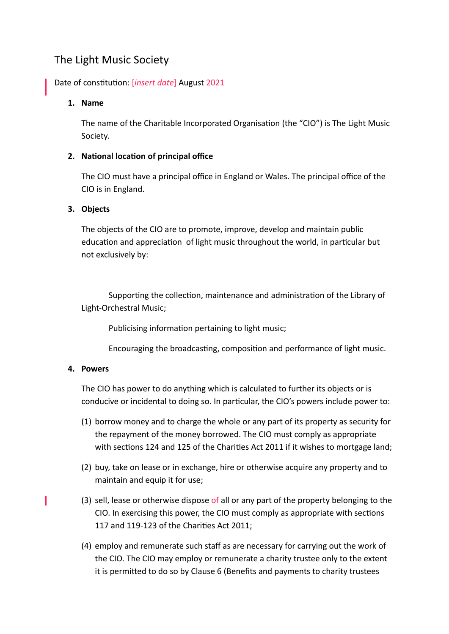# The Light Music Society

# Date of constitution: [*insert date*] August 2021

# **1. Name**

The name of the Charitable Incorporated Organisation (the "CIO") is The Light Music Society.

# **2.** National location of principal office

The CIO must have a principal office in England or Wales. The principal office of the CIO is in England.

# **3. Objects**

The objects of the CIO are to promote, improve, develop and maintain public education and appreciation of light music throughout the world, in particular but not exclusively by:

Supporting the collection, maintenance and administration of the Library of Light-Orchestral Music;

Publicising information pertaining to light music;

Encouraging the broadcasting, composition and performance of light music.

# **4. Powers**

I

The CIO has power to do anything which is calculated to further its objects or is conducive or incidental to doing so. In particular, the CIO's powers include power to:

- (1) borrow money and to charge the whole or any part of its property as security for the repayment of the money borrowed. The CIO must comply as appropriate with sections 124 and 125 of the Charities Act 2011 if it wishes to mortgage land;
- (2) buy, take on lease or in exchange, hire or otherwise acquire any property and to maintain and equip it for use;
- (3) sell, lease or otherwise dispose of all or any part of the property belonging to the CIO. In exercising this power, the CIO must comply as appropriate with sections 117 and 119-123 of the Charities Act 2011;
- (4) employ and remunerate such staff as are necessary for carrying out the work of the CIO. The CIO may employ or remunerate a charity trustee only to the extent it is permitted to do so by Clause 6 (Benefits and payments to charity trustees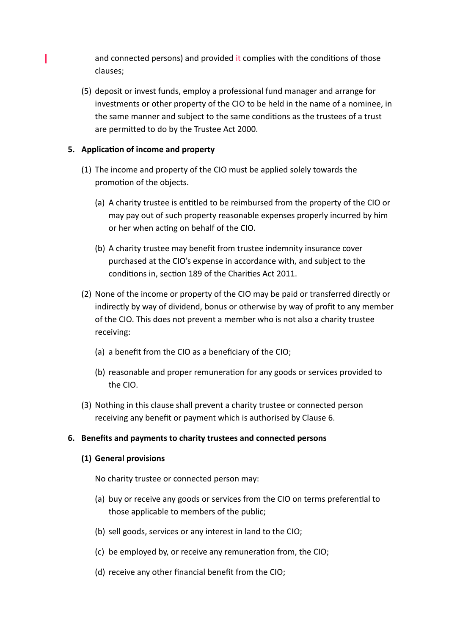and connected persons) and provided it complies with the conditions of those clauses;

(5) deposit or invest funds, employ a professional fund manager and arrange for investments or other property of the CIO to be held in the name of a nominee, in the same manner and subject to the same conditions as the trustees of a trust are permitted to do by the Trustee Act 2000.

### **5.** Application of income and property

I

- (1) The income and property of the CIO must be applied solely towards the promotion of the objects.
	- (a) A charity trustee is entitled to be reimbursed from the property of the CIO or may pay out of such property reasonable expenses properly incurred by him or her when acting on behalf of the CIO.
	- (b) A charity trustee may benefit from trustee indemnity insurance cover purchased at the CIO's expense in accordance with, and subject to the conditions in, section 189 of the Charities Act 2011.
- (2) None of the income or property of the CIO may be paid or transferred directly or indirectly by way of dividend, bonus or otherwise by way of profit to any member of the CIO. This does not prevent a member who is not also a charity trustee receiving:
	- (a) a benefit from the CIO as a beneficiary of the CIO;
	- (b) reasonable and proper remuneration for any goods or services provided to the CIO.
- (3) Nothing in this clause shall prevent a charity trustee or connected person receiving any benefit or payment which is authorised by Clause 6.

# **6. Benefits and payments to charity trustees and connected persons**

#### **(1) General provisions**

No charity trustee or connected person may:

- (a) buy or receive any goods or services from the CIO on terms preferential to those applicable to members of the public;
- (b) sell goods, services or any interest in land to the CIO;
- (c) be employed by, or receive any remuneration from, the CIO;
- (d) receive any other financial benefit from the CIO;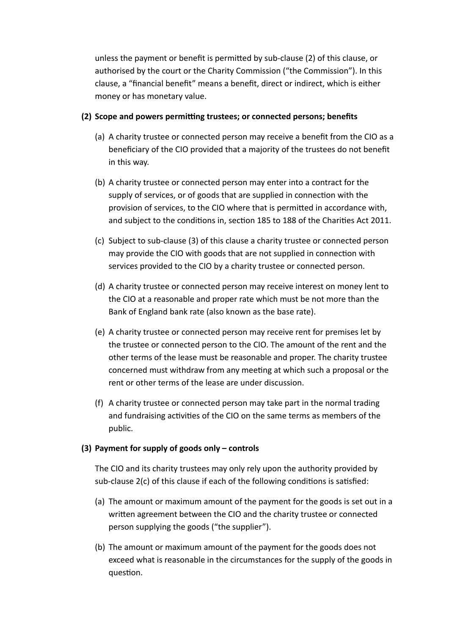unless the payment or benefit is permitted by sub-clause (2) of this clause, or authorised by the court or the Charity Commission ("the Commission"). In this clause, a "financial benefit" means a benefit, direct or indirect, which is either money or has monetary value.

### **(2)** Scope and powers permitting trustees; or connected persons; benefits

- (a) A charity trustee or connected person may receive a benefit from the CIO as a beneficiary of the CIO provided that a majority of the trustees do not benefit in this way.
- (b) A charity trustee or connected person may enter into a contract for the supply of services, or of goods that are supplied in connection with the provision of services, to the CIO where that is permitted in accordance with, and subject to the conditions in, section 185 to 188 of the Charities Act 2011.
- (c) Subject to sub-clause (3) of this clause a charity trustee or connected person may provide the CIO with goods that are not supplied in connection with services provided to the CIO by a charity trustee or connected person.
- (d) A charity trustee or connected person may receive interest on money lent to the CIO at a reasonable and proper rate which must be not more than the Bank of England bank rate (also known as the base rate).
- (e) A charity trustee or connected person may receive rent for premises let by the trustee or connected person to the CIO. The amount of the rent and the other terms of the lease must be reasonable and proper. The charity trustee concerned must withdraw from any meeting at which such a proposal or the rent or other terms of the lease are under discussion.
- (f) A charity trustee or connected person may take part in the normal trading and fundraising activities of the CIO on the same terms as members of the public.

#### **(3) Payment for supply of goods only – controls**

The CIO and its charity trustees may only rely upon the authority provided by sub-clause 2(c) of this clause if each of the following conditions is satisfied:

- (a) The amount or maximum amount of the payment for the goods is set out in a written agreement between the CIO and the charity trustee or connected person supplying the goods ("the supplier").
- (b) The amount or maximum amount of the payment for the goods does not exceed what is reasonable in the circumstances for the supply of the goods in question.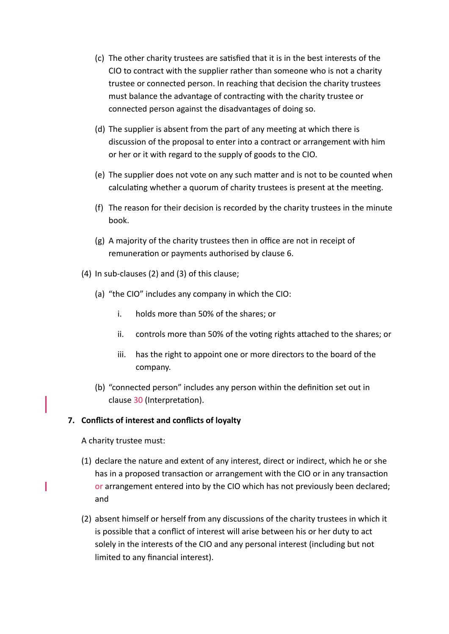- (c) The other charity trustees are satisfied that it is in the best interests of the CIO to contract with the supplier rather than someone who is not a charity trustee or connected person. In reaching that decision the charity trustees must balance the advantage of contracting with the charity trustee or connected person against the disadvantages of doing so.
- (d) The supplier is absent from the part of any meeting at which there is discussion of the proposal to enter into a contract or arrangement with him or her or it with regard to the supply of goods to the CIO.
- (e) The supplier does not vote on any such matter and is not to be counted when calculating whether a quorum of charity trustees is present at the meeting.
- (f) The reason for their decision is recorded by the charity trustees in the minute book.
- (g) A majority of the charity trustees then in office are not in receipt of remuneration or payments authorised by clause 6.
- (4) In sub-clauses (2) and (3) of this clause;
	- (a) "the CIO" includes any company in which the CIO:
		- i. holds more than 50% of the shares; or
		- ii. controls more than 50% of the voting rights attached to the shares; or
		- iii. has the right to appoint one or more directors to the board of the company.
	- (b) "connected person" includes any person within the definition set out in clause 30 (Interpretation).

# **7. Conflicts of interest and conflicts of loyalty**

A charity trustee must:

- (1) declare the nature and extent of any interest, direct or indirect, which he or she has in a proposed transaction or arrangement with the CIO or in any transaction or arrangement entered into by the CIO which has not previously been declared; and
- (2) absent himself or herself from any discussions of the charity trustees in which it is possible that a conflict of interest will arise between his or her duty to act solely in the interests of the CIO and any personal interest (including but not limited to any financial interest).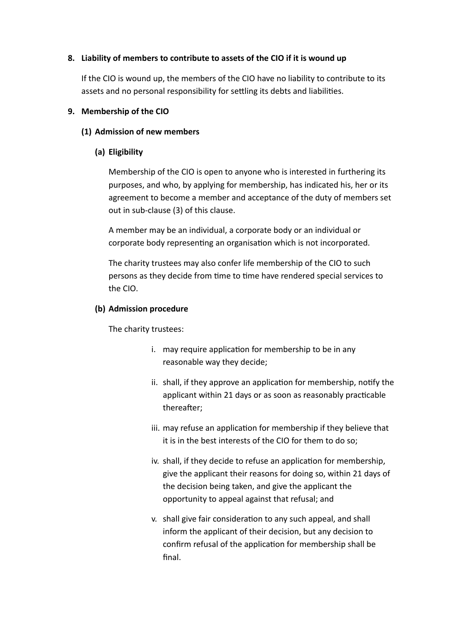### **8. Liability of members to contribute to assets of the CIO if it is wound up**

If the CIO is wound up, the members of the CIO have no liability to contribute to its assets and no personal responsibility for settling its debts and liabilities.

#### **9. Membership of the CIO**

### **(1) Admission of new members**

### **(a) Eligibility**

Membership of the CIO is open to anyone who is interested in furthering its purposes, and who, by applying for membership, has indicated his, her or its agreement to become a member and acceptance of the duty of members set out in sub-clause (3) of this clause.

A member may be an individual, a corporate body or an individual or corporate body representing an organisation which is not incorporated.

The charity trustees may also confer life membership of the CIO to such persons as they decide from time to time have rendered special services to the CIO.

#### **(b) Admission procedure**

The charity trustees:

- i. may require application for membership to be in any reasonable way they decide;
- ii. shall, if they approve an application for membership, notify the applicant within 21 days or as soon as reasonably practicable thereafter;
- iii. may refuse an application for membership if they believe that it is in the best interests of the CIO for them to do so;
- iv. shall, if they decide to refuse an application for membership, give the applicant their reasons for doing so, within 21 days of the decision being taken, and give the applicant the opportunity to appeal against that refusal; and
- v. shall give fair consideration to any such appeal, and shall inform the applicant of their decision, but any decision to confirm refusal of the application for membership shall be final.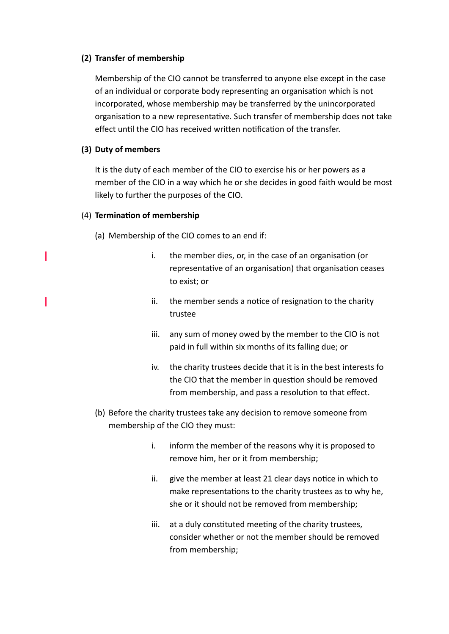#### **(2) Transfer of membership**

Membership of the CIO cannot be transferred to anyone else except in the case of an individual or corporate body representing an organisation which is not incorporated, whose membership may be transferred by the unincorporated organisation to a new representative. Such transfer of membership does not take effect until the CIO has received written notification of the transfer.

#### **(3) Duty of members**

It is the duty of each member of the CIO to exercise his or her powers as a member of the CIO in a way which he or she decides in good faith would be most likely to further the purposes of the CIO.

#### (4) **Termination of membership**

- (a) Membership of the CIO comes to an end if:
	- $i.$  the member dies, or, in the case of an organisation (or representative of an organisation) that organisation ceases to exist; or
	- ii. the member sends a notice of resignation to the charity trustee
	- iii. any sum of money owed by the member to the CIO is not paid in full within six months of its falling due; or
	- iv. the charity trustees decide that it is in the best interests fo the CIO that the member in question should be removed from membership, and pass a resolution to that effect.
- (b) Before the charity trustees take any decision to remove someone from membership of the CIO they must:
	- i. inform the member of the reasons why it is proposed to remove him, her or it from membership;
	- ii. give the member at least 21 clear days notice in which to make representations to the charity trustees as to why he, she or it should not be removed from membership;
	- iii. at a duly constituted meeting of the charity trustees, consider whether or not the member should be removed from membership;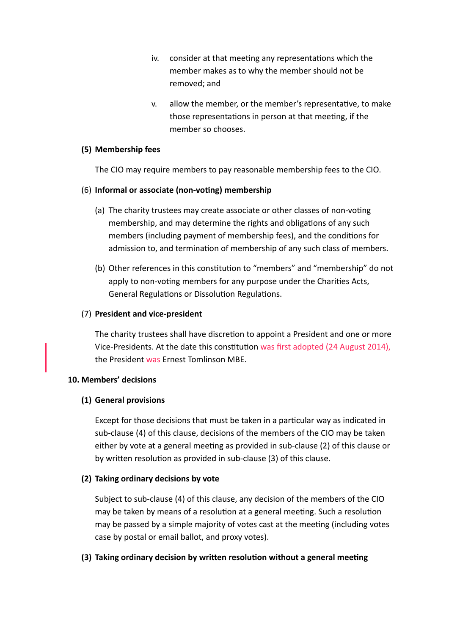- iv. consider at that meeting any representations which the member makes as to why the member should not be removed; and
- v. allow the member, or the member's representative, to make those representations in person at that meeting, if the member so chooses.

#### **(5) Membership fees**

The CIO may require members to pay reasonable membership fees to the CIO.

#### (6) **Informal or associate (non-voting)** membership

- (a) The charity trustees may create associate or other classes of non-voting membership, and may determine the rights and obligations of any such members (including payment of membership fees), and the conditions for admission to, and termination of membership of any such class of members.
- (b) Other references in this constitution to "members" and "membership" do not apply to non-voting members for any purpose under the Charities Acts, General Regulations or Dissolution Regulations.

### (7) **President and vice-president**

The charity trustees shall have discretion to appoint a President and one or more Vice-Presidents. At the date this constitution was first adopted (24 August 2014), the President was Ernest Tomlinson MBE.

#### **10. Members' decisions**

#### **(1) General provisions**

Except for those decisions that must be taken in a particular way as indicated in sub-clause (4) of this clause, decisions of the members of the CIO may be taken either by vote at a general meeting as provided in sub-clause (2) of this clause or by written resolution as provided in sub-clause (3) of this clause.

#### **(2) Taking ordinary decisions by vote**

Subject to sub-clause (4) of this clause, any decision of the members of the CIO may be taken by means of a resolution at a general meeting. Such a resolution may be passed by a simple majority of votes cast at the meeting (including votes case by postal or email ballot, and proxy votes).

#### **(3)** Taking ordinary decision by written resolution without a general meeting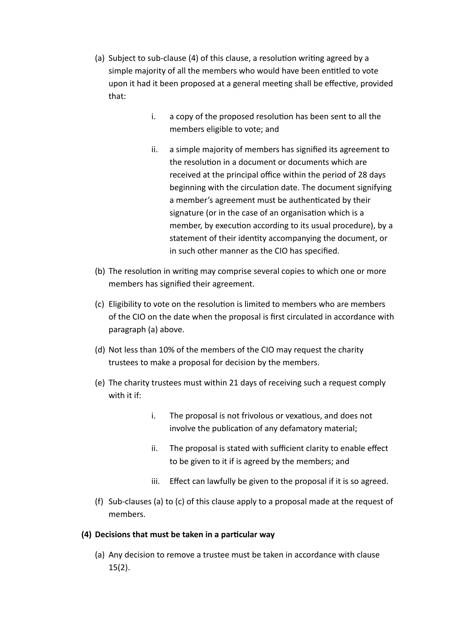- (a) Subject to sub-clause (4) of this clause, a resolution writing agreed by a simple majority of all the members who would have been entitled to vote upon it had it been proposed at a general meeting shall be effective, provided that:
	- i. a copy of the proposed resolution has been sent to all the members eligible to vote; and
	- ii. a simple majority of members has signified its agreement to the resolution in a document or documents which are received at the principal office within the period of 28 days beginning with the circulation date. The document signifying a member's agreement must be authenticated by their signature (or in the case of an organisation which is a member, by execution according to its usual procedure), by a statement of their identity accompanying the document, or in such other manner as the CIO has specified.
- (b) The resolution in writing may comprise several copies to which one or more members has signified their agreement.
- (c) Eligibility to vote on the resolution is limited to members who are members of the CIO on the date when the proposal is first circulated in accordance with paragraph (a) above.
- (d) Not less than 10% of the members of the CIO may request the charity trustees to make a proposal for decision by the members.
- (e) The charity trustees must within 21 days of receiving such a request comply with it if:
	- i. The proposal is not frivolous or vexatious, and does not involve the publication of any defamatory material;
	- ii. The proposal is stated with sufficient clarity to enable effect to be given to it if is agreed by the members; and
	- iii. Effect can lawfully be given to the proposal if it is so agreed.
- (f) Sub-clauses (a) to (c) of this clause apply to a proposal made at the request of members.

# **(4)** Decisions that must be taken in a particular way

(a) Any decision to remove a trustee must be taken in accordance with clause 15(2).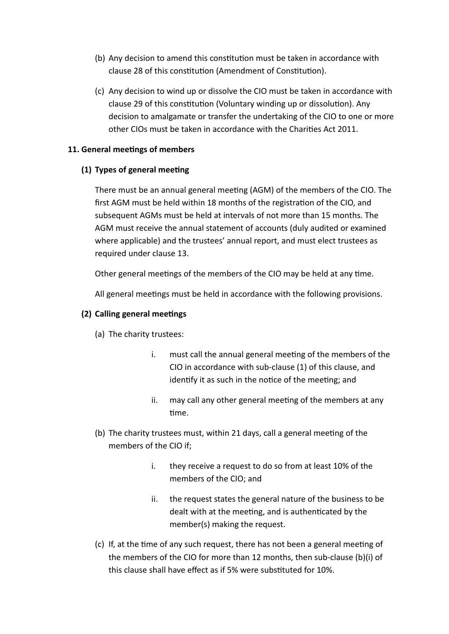- (b) Any decision to amend this constitution must be taken in accordance with clause 28 of this constitution (Amendment of Constitution).
- (c) Any decision to wind up or dissolve the CIO must be taken in accordance with clause 29 of this constitution (Voluntary winding up or dissolution). Any decision to amalgamate or transfer the undertaking of the CIO to one or more other CIOs must be taken in accordance with the Charities Act 2011.

# **11. General meetings of members**

# **(1) Types of general meeting**

There must be an annual general meeting (AGM) of the members of the CIO. The first AGM must be held within 18 months of the registration of the CIO, and subsequent AGMs must be held at intervals of not more than 15 months. The AGM must receive the annual statement of accounts (duly audited or examined where applicable) and the trustees' annual report, and must elect trustees as required under clause 13.

Other general meetings of the members of the CIO may be held at any time.

All general meetings must be held in accordance with the following provisions.

# **(2) Calling general meetings**

- (a) The charity trustees:
	- i. must call the annual general meeting of the members of the CIO in accordance with sub-clause (1) of this clause, and identify it as such in the notice of the meeting; and
	- ii. may call any other general meeting of the members at any time.
- (b) The charity trustees must, within 21 days, call a general meeting of the members of the CIO if;
	- i. they receive a request to do so from at least 10% of the members of the CIO; and
	- ii. the request states the general nature of the business to be dealt with at the meeting, and is authenticated by the member(s) making the request.
- (c) If, at the time of any such request, there has not been a general meeting of the members of the CIO for more than 12 months, then sub-clause (b)(i) of this clause shall have effect as if 5% were substituted for 10%.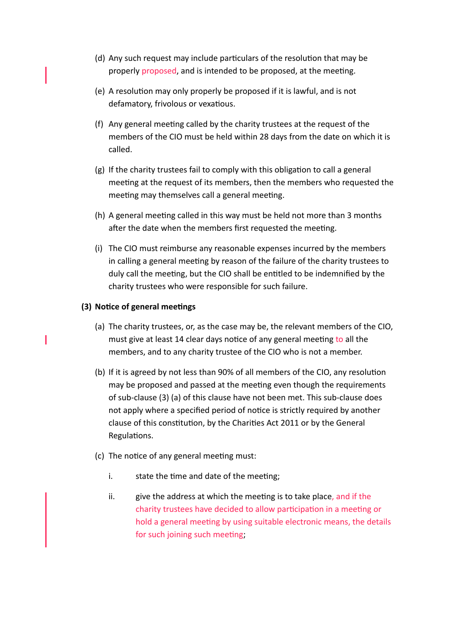- (d) Any such request may include particulars of the resolution that may be properly proposed, and is intended to be proposed, at the meeting.
- (e) A resolution may only properly be proposed if it is lawful, and is not defamatory, frivolous or vexatious.
- (f) Any general meeting called by the charity trustees at the request of the members of the CIO must be held within 28 days from the date on which it is called.
- $(g)$  If the charity trustees fail to comply with this obligation to call a general meeting at the request of its members, then the members who requested the meeting may themselves call a general meeting.
- (h) A general meeting called in this way must be held not more than 3 months after the date when the members first requested the meeting.
- (i) The CIO must reimburse any reasonable expenses incurred by the members in calling a general meeting by reason of the failure of the charity trustees to duly call the meeting, but the CIO shall be entitled to be indemnified by the charity trustees who were responsible for such failure.

### **(3) Notice of general meetings**

- (a) The charity trustees, or, as the case may be, the relevant members of the CIO, must give at least 14 clear days notice of any general meeting to all the members, and to any charity trustee of the CIO who is not a member.
- (b) If it is agreed by not less than 90% of all members of the CIO, any resolution may be proposed and passed at the meeting even though the requirements of sub-clause (3) (a) of this clause have not been met. This sub-clause does not apply where a specified period of notice is strictly required by another clause of this constitution, by the Charities Act 2011 or by the General Regulations.
- $(c)$  The notice of any general meeting must:
	- i. state the time and date of the meeting;
	- ii. give the address at which the meeting is to take place, and if the charity trustees have decided to allow participation in a meeting or hold a general meeting by using suitable electronic means, the details for such joining such meeting;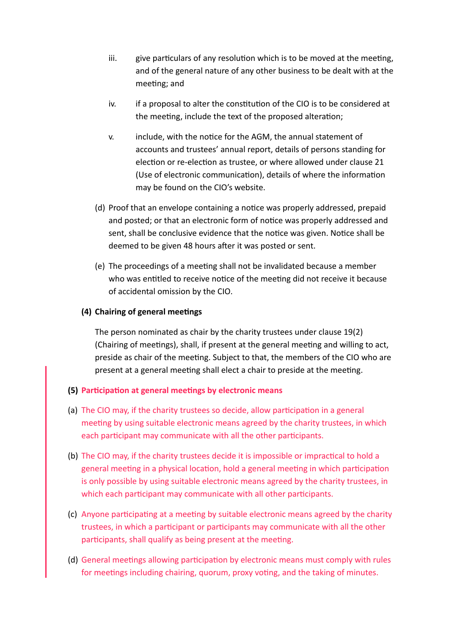- iii. give particulars of any resolution which is to be moved at the meeting, and of the general nature of any other business to be dealt with at the meeting; and
- iv. if a proposal to alter the constitution of the CIO is to be considered at the meeting, include the text of the proposed alteration;
- v. include, with the notice for the AGM, the annual statement of accounts and trustees' annual report, details of persons standing for election or re-election as trustee, or where allowed under clause 21 (Use of electronic communication), details of where the information may be found on the CIO's website.
- (d) Proof that an envelope containing a notice was properly addressed, prepaid and posted; or that an electronic form of notice was properly addressed and sent, shall be conclusive evidence that the notice was given. Notice shall be deemed to be given 48 hours after it was posted or sent.
- (e) The proceedings of a meeting shall not be invalidated because a member who was entitled to receive notice of the meeting did not receive it because of accidental omission by the CIO.

### **(4) Chairing of general meetings**

The person nominated as chair by the charity trustees under clause 19(2) (Chairing of meetings), shall, if present at the general meeting and willing to act, preside as chair of the meeting. Subject to that, the members of the CIO who are present at a general meeting shall elect a chair to preside at the meeting.

# **(5) Participation at general meetings by electronic means**

- (a) The CIO may, if the charity trustees so decide, allow participation in a general meeting by using suitable electronic means agreed by the charity trustees, in which each participant may communicate with all the other participants.
- (b) The CIO may, if the charity trustees decide it is impossible or impractical to hold a general meeting in a physical location, hold a general meeting in which participation is only possible by using suitable electronic means agreed by the charity trustees, in which each participant may communicate with all other participants.
- (c) Anyone participating at a meeting by suitable electronic means agreed by the charity trustees, in which a participant or participants may communicate with all the other participants, shall qualify as being present at the meeting.
- (d) General meetings allowing participation by electronic means must comply with rules for meetings including chairing, quorum, proxy voting, and the taking of minutes.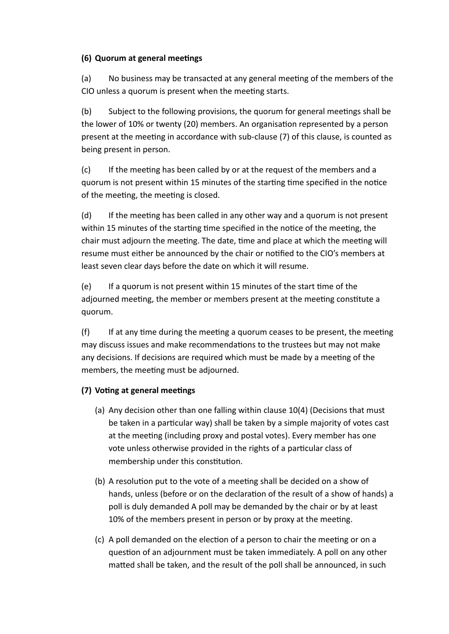# **(6)** Quorum at general meetings

(a) No business may be transacted at any general meeting of the members of the CIO unless a quorum is present when the meeting starts.

 $(b)$  Subject to the following provisions, the quorum for general meetings shall be the lower of 10% or twenty (20) members. An organisation represented by a person present at the meeting in accordance with sub-clause (7) of this clause, is counted as being present in person.

 $(c)$  If the meeting has been called by or at the request of the members and a quorum is not present within 15 minutes of the starting time specified in the notice of the meeting, the meeting is closed.

(d) If the meeting has been called in any other way and a quorum is not present within 15 minutes of the starting time specified in the notice of the meeting, the chair must adjourn the meeting. The date, time and place at which the meeting will resume must either be announced by the chair or notified to the CIO's members at least seven clear days before the date on which it will resume.

(e) If a quorum is not present within 15 minutes of the start time of the adjourned meeting, the member or members present at the meeting constitute a quorum.

 $(f)$  If at any time during the meeting a quorum ceases to be present, the meeting may discuss issues and make recommendations to the trustees but may not make any decisions. If decisions are required which must be made by a meeting of the members, the meeting must be adjourned.

# **(7)** Voting at general meetings

- (a) Any decision other than one falling within clause 10(4) (Decisions that must be taken in a particular way) shall be taken by a simple majority of votes cast at the meeting (including proxy and postal votes). Every member has one vote unless otherwise provided in the rights of a particular class of membership under this constitution.
- (b) A resolution put to the vote of a meeting shall be decided on a show of hands, unless (before or on the declaration of the result of a show of hands) a poll is duly demanded A poll may be demanded by the chair or by at least 10% of the members present in person or by proxy at the meeting.
- (c) A poll demanded on the election of a person to chair the meeting or on a question of an adjournment must be taken immediately. A poll on any other matted shall be taken, and the result of the poll shall be announced, in such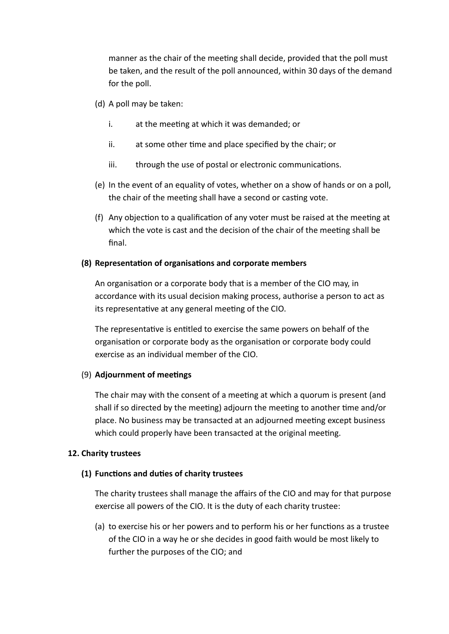manner as the chair of the meeting shall decide, provided that the poll must be taken, and the result of the poll announced, within 30 days of the demand for the poll.

- (d) A poll may be taken:
	- i. at the meeting at which it was demanded; or
	- ii. at some other time and place specified by the chair; or
	- iii. through the use of postal or electronic communications.
- (e) In the event of an equality of votes, whether on a show of hands or on a poll, the chair of the meeting shall have a second or casting vote.
- (f) Any objection to a qualification of any voter must be raised at the meeting at which the vote is cast and the decision of the chair of the meeting shall be final.

#### **(8)** Representation of organisations and corporate members

An organisation or a corporate body that is a member of the CIO may, in accordance with its usual decision making process, authorise a person to act as its representative at any general meeting of the CIO.

The representative is entitled to exercise the same powers on behalf of the organisation or corporate body as the organisation or corporate body could exercise as an individual member of the CIO.

#### (9) **Adjournment of meetings**

The chair may with the consent of a meeting at which a quorum is present (and shall if so directed by the meeting) adjourn the meeting to another time and/or place. No business may be transacted at an adjourned meeting except business which could properly have been transacted at the original meeting.

#### **12. Charity trustees**

#### **(1) Functions and duties of charity trustees**

The charity trustees shall manage the affairs of the CIO and may for that purpose exercise all powers of the CIO. It is the duty of each charity trustee:

(a) to exercise his or her powers and to perform his or her functions as a trustee of the CIO in a way he or she decides in good faith would be most likely to further the purposes of the CIO; and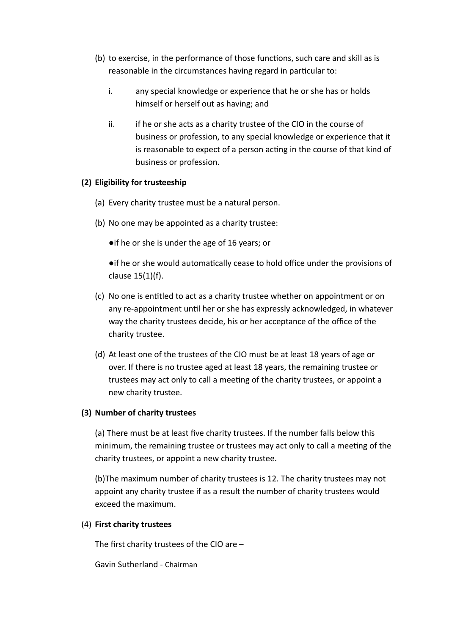- (b) to exercise, in the performance of those functions, such care and skill as is reasonable in the circumstances having regard in particular to:
	- i. any special knowledge or experience that he or she has or holds himself or herself out as having; and
	- ii. if he or she acts as a charity trustee of the CIO in the course of business or profession, to any special knowledge or experience that it is reasonable to expect of a person acting in the course of that kind of business or profession.

# **(2) Eligibility for trusteeship**

- (a) Every charity trustee must be a natural person.
- (b) No one may be appointed as a charity trustee:

●if he or she is under the age of 16 years; or

• if he or she would automatically cease to hold office under the provisions of clause 15(1)(f).

- (c) No one is entitled to act as a charity trustee whether on appointment or on any re-appointment until her or she has expressly acknowledged, in whatever way the charity trustees decide, his or her acceptance of the office of the charity trustee.
- (d) At least one of the trustees of the CIO must be at least 18 years of age or over. If there is no trustee aged at least 18 years, the remaining trustee or trustees may act only to call a meeting of the charity trustees, or appoint a new charity trustee.

#### **(3) Number of charity trustees**

(a) There must be at least five charity trustees. If the number falls below this minimum, the remaining trustee or trustees may act only to call a meeting of the charity trustees, or appoint a new charity trustee.

(b)The maximum number of charity trustees is 12. The charity trustees may not appoint any charity trustee if as a result the number of charity trustees would exceed the maximum.

#### (4) **First charity trustees**

The first charity trustees of the CIO are –

Gavin Sutherland - Chairman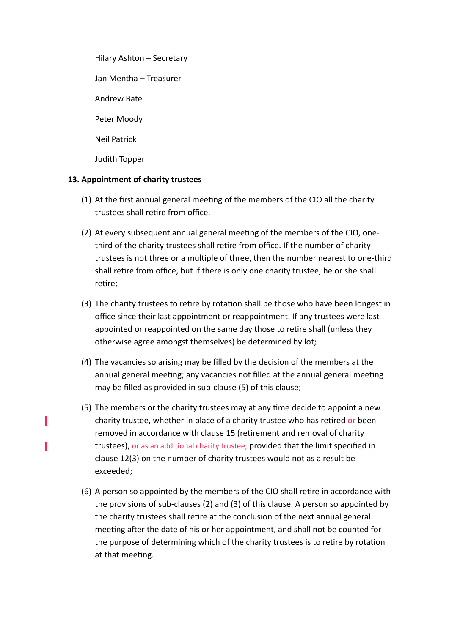Hilary Ashton – Secretary Jan Mentha – Treasurer Andrew Bate Peter Moody Neil Patrick Judith Topper

#### **13. Appointment of charity trustees**

- (1) At the first annual general meeting of the members of the CIO all the charity trustees shall retire from office.
- (2) At every subsequent annual general meeting of the members of the CIO, onethird of the charity trustees shall retire from office. If the number of charity trustees is not three or a multiple of three, then the number nearest to one-third shall retire from office, but if there is only one charity trustee, he or she shall retire:
- (3) The charity trustees to retire by rotation shall be those who have been longest in office since their last appointment or reappointment. If any trustees were last appointed or reappointed on the same day those to retire shall (unless they otherwise agree amongst themselves) be determined by lot;
- (4) The vacancies so arising may be filled by the decision of the members at the annual general meeting; any vacancies not filled at the annual general meeting may be filled as provided in sub-clause (5) of this clause;
- (5) The members or the charity trustees may at any time decide to appoint a new charity trustee, whether in place of a charity trustee who has retired or been removed in accordance with clause 15 (retirement and removal of charity trustees), or as an additional charity trustee, provided that the limit specified in clause 12(3) on the number of charity trustees would not as a result be exceeded;
- (6) A person so appointed by the members of the CIO shall retire in accordance with the provisions of sub-clauses (2) and (3) of this clause. A person so appointed by the charity trustees shall retire at the conclusion of the next annual general meeting after the date of his or her appointment, and shall not be counted for the purpose of determining which of the charity trustees is to retire by rotation at that meeting.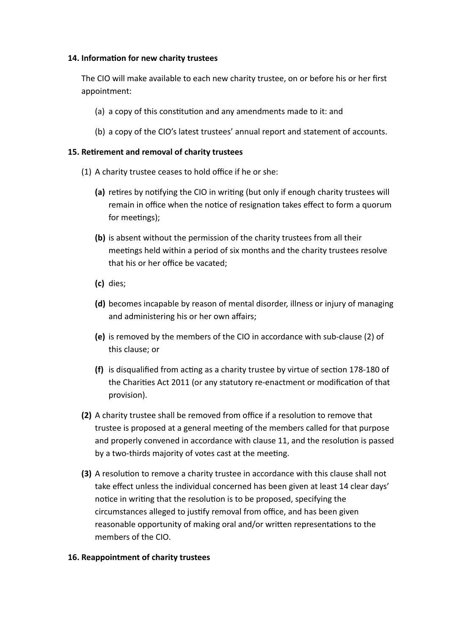#### 14. Information for new charity trustees

The CIO will make available to each new charity trustee, on or before his or her first appointment:

- (a) a copy of this constitution and any amendments made to it: and
- (b) a copy of the CIO's latest trustees' annual report and statement of accounts.

### 15. Retirement and removal of charity trustees

- (1) A charity trustee ceases to hold office if he or she:
	- **(a)** retires by notifying the CIO in writing (but only if enough charity trustees will remain in office when the notice of resignation takes effect to form a quorum for meetings);
	- **(b)** is absent without the permission of the charity trustees from all their meetings held within a period of six months and the charity trustees resolve that his or her office be vacated;
	- **(c)** dies;
	- **(d)** becomes incapable by reason of mental disorder, illness or injury of managing and administering his or her own affairs;
	- **(e)** is removed by the members of the CIO in accordance with sub-clause (2) of this clause; or
	- **(f)** is disqualified from acting as a charity trustee by virtue of section 178-180 of the Charities Act 2011 (or any statutory re-enactment or modification of that provision).
- **(2)** A charity trustee shall be removed from office if a resolution to remove that trustee is proposed at a general meeting of the members called for that purpose and properly convened in accordance with clause 11, and the resolution is passed by a two-thirds majority of votes cast at the meeting.
- **(3)** A resolution to remove a charity trustee in accordance with this clause shall not take effect unless the individual concerned has been given at least 14 clear days' notice in writing that the resolution is to be proposed, specifying the circumstances alleged to justify removal from office, and has been given reasonable opportunity of making oral and/or written representations to the members of the CIO.

# **16. Reappointment of charity trustees**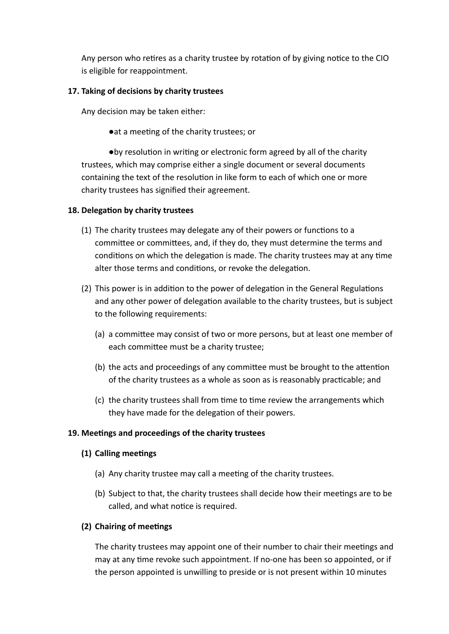Any person who retires as a charity trustee by rotation of by giving notice to the CIO is eligible for reappointment.

### **17. Taking of decisions by charity trustees**

Any decision may be taken either:

oat a meeting of the charity trustees; or

●by resolution in writing or electronic form agreed by all of the charity trustees, which may comprise either a single document or several documents containing the text of the resolution in like form to each of which one or more charity trustees has signified their agreement.

### **18. Delegation by charity trustees**

- (1) The charity trustees may delegate any of their powers or functions to a committee or committees, and, if they do, they must determine the terms and conditions on which the delegation is made. The charity trustees may at any time alter those terms and conditions, or revoke the delegation.
- (2) This power is in addition to the power of delegation in the General Regulations and any other power of delegation available to the charity trustees, but is subject to the following requirements:
	- (a) a committee may consist of two or more persons, but at least one member of each committee must be a charity trustee;
	- (b) the acts and proceedings of any committee must be brought to the attention of the charity trustees as a whole as soon as is reasonably practicable; and
	- (c) the charity trustees shall from time to time review the arrangements which they have made for the delegation of their powers.

# 19. Meetings and proceedings of the charity trustees

# **(1) Calling meetings**

- (a) Any charity trustee may call a meeting of the charity trustees.
- (b) Subject to that, the charity trustees shall decide how their meetings are to be called, and what notice is required.

#### **(2) Chairing of meetings**

The charity trustees may appoint one of their number to chair their meetings and may at any time revoke such appointment. If no-one has been so appointed, or if the person appointed is unwilling to preside or is not present within 10 minutes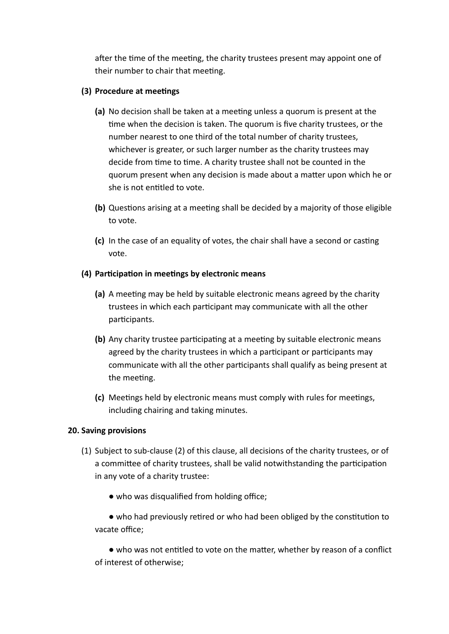after the time of the meeting, the charity trustees present may appoint one of their number to chair that meeting.

### **(3) Procedure at meetings**

- **(a)** No decision shall be taken at a meeting unless a quorum is present at the time when the decision is taken. The quorum is five charity trustees, or the number nearest to one third of the total number of charity trustees, whichever is greater, or such larger number as the charity trustees may decide from time to time. A charity trustee shall not be counted in the quorum present when any decision is made about a ma^er upon which he or she is not entitled to vote.
- **(b)** Questions arising at a meeting shall be decided by a majority of those eligible to vote.
- **(c)** In the case of an equality of votes, the chair shall have a second or casting vote.

# **(4) Participation in meetings by electronic means**

- (a) A meeting may be held by suitable electronic means agreed by the charity trustees in which each participant may communicate with all the other participants.
- **(b)** Any charity trustee participating at a meeting by suitable electronic means agreed by the charity trustees in which a participant or participants may communicate with all the other participants shall qualify as being present at the meeting.
- **(c)** Meetings held by electronic means must comply with rules for meetings, including chairing and taking minutes.

# **20. Saving provisions**

- (1) Subject to sub-clause (2) of this clause, all decisions of the charity trustees, or of a committee of charity trustees, shall be valid notwithstanding the participation in any vote of a charity trustee:
	- who was disqualified from holding office;

. who had previously retired or who had been obliged by the constitution to vacate office;

• who was not entitled to vote on the matter, whether by reason of a conflict of interest of otherwise;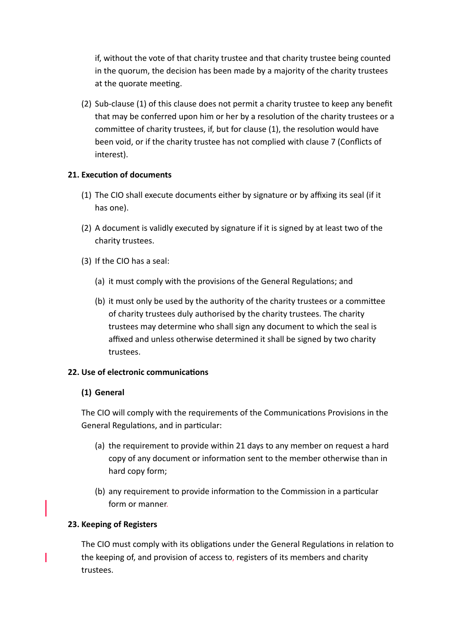if, without the vote of that charity trustee and that charity trustee being counted in the quorum, the decision has been made by a majority of the charity trustees at the quorate meeting.

(2) Sub-clause (1) of this clause does not permit a charity trustee to keep any benefit that may be conferred upon him or her by a resolution of the charity trustees or a committee of charity trustees, if, but for clause (1), the resolution would have been void, or if the charity trustee has not complied with clause 7 (Conflicts of interest).

# **21. Execution of documents**

- (1) The CIO shall execute documents either by signature or by affixing its seal (if it has one).
- (2) A document is validly executed by signature if it is signed by at least two of the charity trustees.
- (3) If the CIO has a seal:
	- (a) it must comply with the provisions of the General Regulations; and
	- (b) it must only be used by the authority of the charity trustees or a committee of charity trustees duly authorised by the charity trustees. The charity trustees may determine who shall sign any document to which the seal is affixed and unless otherwise determined it shall be signed by two charity trustees.

# **22.** Use of electronic communications

# **(1) General**

The CIO will comply with the requirements of the Communications Provisions in the General Regulations, and in particular:

- (a) the requirement to provide within 21 days to any member on request a hard copy of any document or information sent to the member otherwise than in hard copy form;
- (b) any requirement to provide information to the Commission in a particular form or manner.

# **23. Keeping of Registers**

The CIO must comply with its obligations under the General Regulations in relation to the keeping of, and provision of access to, registers of its members and charity trustees.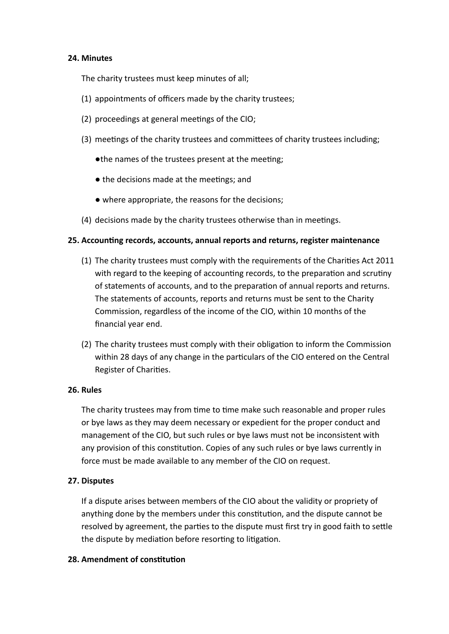#### **24. Minutes**

The charity trustees must keep minutes of all;

- (1) appointments of officers made by the charity trustees;
- (2) proceedings at general meetings of the CIO;
- (3) meetings of the charity trustees and committees of charity trustees including;
	- the names of the trustees present at the meeting;
	- the decisions made at the meetings; and
	- where appropriate, the reasons for the decisions;
- (4) decisions made by the charity trustees otherwise than in meetings.

# 25. Accounting records, accounts, annual reports and returns, register maintenance

- (1) The charity trustees must comply with the requirements of the Charities Act 2011 with regard to the keeping of accounting records, to the preparation and scrutiny of statements of accounts, and to the preparation of annual reports and returns. The statements of accounts, reports and returns must be sent to the Charity Commission, regardless of the income of the CIO, within 10 months of the financial year end.
- (2) The charity trustees must comply with their obligation to inform the Commission within 28 days of any change in the particulars of the CIO entered on the Central Register of Charities.

# **26. Rules**

The charity trustees may from time to time make such reasonable and proper rules or bye laws as they may deem necessary or expedient for the proper conduct and management of the CIO, but such rules or bye laws must not be inconsistent with any provision of this constitution. Copies of any such rules or bye laws currently in force must be made available to any member of the CIO on request.

# **27. Disputes**

If a dispute arises between members of the CIO about the validity or propriety of anything done by the members under this constitution, and the dispute cannot be resolved by agreement, the parties to the dispute must first try in good faith to settle the dispute by mediation before resorting to litigation.

# **28.** Amendment of constitution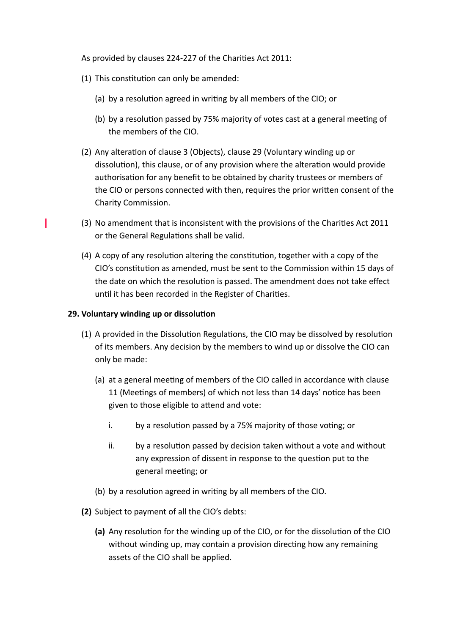As provided by clauses 224-227 of the Charities Act 2011:

- $(1)$  This constitution can only be amended:
	- (a) by a resolution agreed in writing by all members of the CIO; or
	- (b) by a resolution passed by 75% majority of votes cast at a general meeting of the members of the CIO.
- (2) Any alteration of clause 3 (Objects), clause 29 (Voluntary winding up or dissolution), this clause, or of any provision where the alteration would provide authorisation for any benefit to be obtained by charity trustees or members of the CIO or persons connected with then, requires the prior written consent of the Charity Commission.
- (3) No amendment that is inconsistent with the provisions of the Charities Act 2011 or the General Regulations shall be valid.
- (4) A copy of any resolution altering the constitution, together with a copy of the CIO's constitution as amended, must be sent to the Commission within 15 days of the date on which the resolution is passed. The amendment does not take effect until it has been recorded in the Register of Charities.

#### **29.** Voluntary winding up or dissolution

- $(1)$  A provided in the Dissolution Regulations, the CIO may be dissolved by resolution of its members. Any decision by the members to wind up or dissolve the CIO can only be made:
	- (a) at a general meeting of members of the CIO called in accordance with clause 11 (Meetings of members) of which not less than 14 days' notice has been given to those eligible to attend and vote:
		- i. by a resolution passed by a 75% majority of those voting; or
		- ii. by a resolution passed by decision taken without a vote and without any expression of dissent in response to the question put to the general meeting; or
	- (b) by a resolution agreed in writing by all members of the CIO.
- **(2)** Subject to payment of all the CIO's debts:
	- **(a)** Any resolution for the winding up of the CIO, or for the dissolution of the CIO without winding up, may contain a provision directing how any remaining assets of the CIO shall be applied.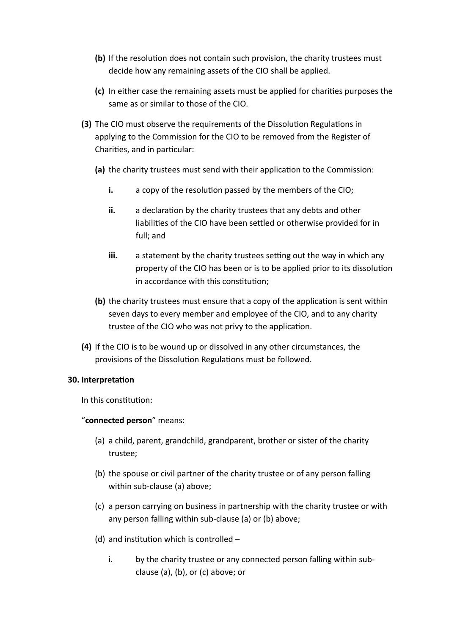- **(b)** If the resolution does not contain such provision, the charity trustees must decide how any remaining assets of the CIO shall be applied.
- **(c)** In either case the remaining assets must be applied for charities purposes the same as or similar to those of the CIO.
- **(3)** The CIO must observe the requirements of the Dissolution Regulations in applying to the Commission for the CIO to be removed from the Register of Charities, and in particular:
	- (a) the charity trustees must send with their application to the Commission:
		- **i.** a copy of the resolution passed by the members of the CIO;
		- **ii.** a declaration by the charity trustees that any debts and other liabilities of the CIO have been settled or otherwise provided for in full; and
		- **iii.** a statement by the charity trustees setting out the way in which any property of the CIO has been or is to be applied prior to its dissolution in accordance with this constitution:
	- **(b)** the charity trustees must ensure that a copy of the application is sent within seven days to every member and employee of the CIO, and to any charity trustee of the CIO who was not privy to the application.
- **(4)** If the CIO is to be wound up or dissolved in any other circumstances, the provisions of the Dissolution Regulations must be followed.

#### **30.** Interpretation

In this constitution:

#### "**connected person**" means:

- (a) a child, parent, grandchild, grandparent, brother or sister of the charity trustee;
- (b) the spouse or civil partner of the charity trustee or of any person falling within sub-clause (a) above;
- (c) a person carrying on business in partnership with the charity trustee or with any person falling within sub-clause (a) or (b) above;
- (d) and institution which is controlled  $$ 
	- i. by the charity trustee or any connected person falling within subclause (a), (b), or (c) above; or